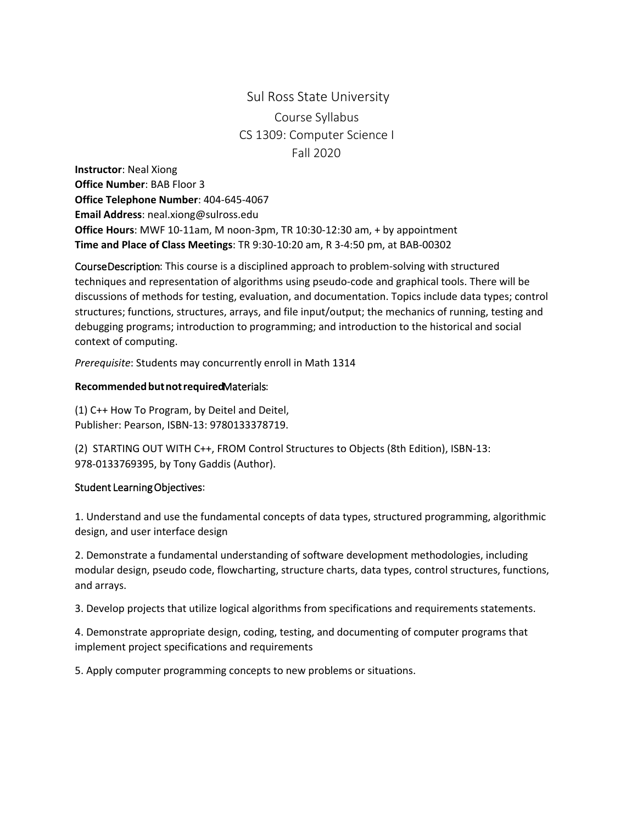## Sul Ross State University Course Syllabus CS 1309: Computer Science I Fall 2020

**Instructor**: Neal Xiong **Office Number**: BAB Floor 3 **Office Telephone Number**: 404-645-4067 **Email Address**: [neal.xiong@sulross.edu](mailto:adriana.lumpkin@sulross.edu) **Office Hours**: MWF 10-11am, M noon-3pm, TR 10:30-12:30 am, + by appointment **Time and Place of Class Meetings**: TR 9:30-10:20 am, R 3-4:50 pm, at BAB-00302

Course Description: This course is a disciplined approach to problem-solving with structured techniques and representation of algorithms using pseudo-code and graphical tools. There will be discussions of methods for testing, evaluation, and documentation. Topics include data types; control structures; functions, structures, arrays, and file input/output; the mechanics of running, testing and debugging programs; introduction to programming; and introduction to the historical and social context of computing.

*Prerequisite*: Students may concurrently enroll in Math 1314

## **Recommended but not required**Materials :

(1) C++ How To Program, by Deitel and Deitel, Publisher: Pearson, ISBN-13: 9780133378719.

(2) STARTING OUT WITH C++, FROM Control Structures to Objects (8th Edition), ISBN-13: 978-0133769395, by Tony Gaddis (Author).

## Student Learning Objectives:

1. Understand and use the fundamental concepts of data types, structured programming, algorithmic design, and user interface design

2. Demonstrate a fundamental understanding of software development methodologies, including modular design, pseudo code, flowcharting, structure charts, data types, control structures, functions, and arrays.

3. Develop projects that utilize logical algorithms from specifications and requirements statements.

4. Demonstrate appropriate design, coding, testing, and documenting of computer programs that implement project specifications and requirements

5. Apply computer programming concepts to new problems or situations.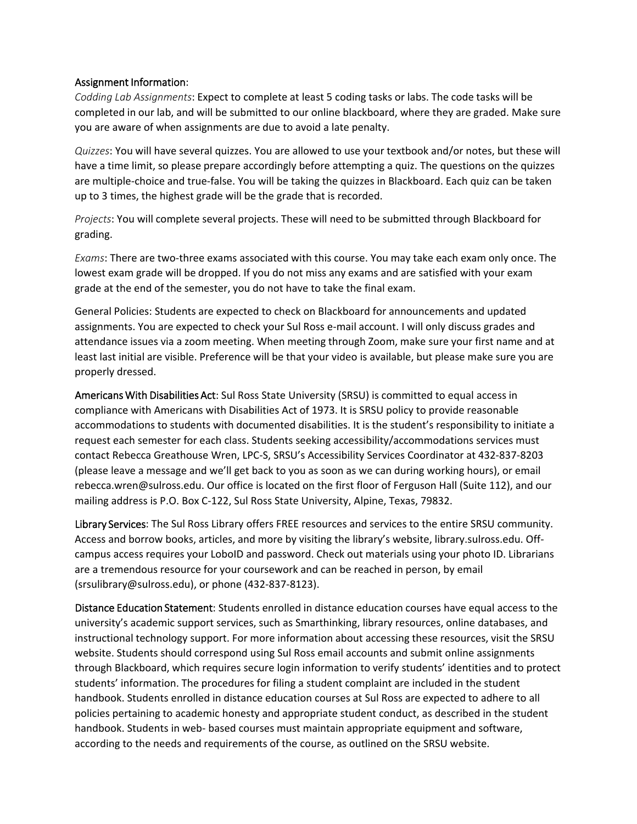## Assignment Information:

*Codding Lab Assignments*: Expect to complete at least 5 coding tasks or labs. The code tasks will be completed in our lab, and will be submitted to our online blackboard, where they are graded. Make sure you are aware of when assignments are due to avoid a late penalty.

*Quizzes*: You will have several quizzes. You are allowed to use your textbook and/or notes, but these will have a time limit, so please prepare accordingly before attempting a quiz. The questions on the quizzes are multiple-choice and true-false. You will be taking the quizzes in Blackboard. Each quiz can be taken up to 3 times, the highest grade will be the grade that is recorded.

*Projects*: You will complete several projects. These will need to be submitted through Blackboard for grading.

*Exams*: There are two-three exams associated with this course. You may take each exam only once. The lowest exam grade will be dropped. If you do not miss any exams and are satisfied with your exam grade at the end of the semester, you do not have to take the final exam.

General Policies: Students are expected to check on Blackboard for announcements and updated assignments. You are expected to check your Sul Ross e-mail account. I will only discuss grades and attendance issues via a zoom meeting. When meeting through Zoom, make sure your first name and at least last initial are visible. Preference will be that your video is available, but please make sure you are properly dressed.

Americans With Disabilities Act: Sul Ross State University (SRSU) is committed to equal access in compliance with Americans with Disabilities Act of 1973. It is SRSU policy to provide reasonable accommodations to students with documented disabilities. It is the student's responsibility to initiate a request each semester for each class. Students seeking accessibility/accommodations services must contact Rebecca Greathouse Wren, LPC-S, SRSU's Accessibility Services Coordinator at 432-837-8203 (please leave a message and we'll get back to you as soon as we can during working hours), or email rebecca.wren@sulross.edu. Our office is located on the first floor of Ferguson Hall (Suite 112), and our mailing address is P.O. Box C-122, Sul Ross State University, Alpine, Texas, 79832.

Library Services: The Sul Ross Library offers FREE resources and services to the entire SRSU community. Access and borrow books, articles, and more by visiting the library's website, library.sulross.edu. Offcampus access requires your LoboID and password. Check out materials using your photo ID. Librarians are a tremendous resource for your coursework and can be reached in person, by email (srsulibrary@sulross.edu), or phone (432-837-8123).

Distance Education Statement: Students enrolled in distance education courses have equal access to the university's academic support services, such as Smarthinking, library resources, online databases, and instructional technology support. For more information about accessing these resources, visit the SRSU website. Students should correspond using Sul Ross email accounts and submit online assignments through Blackboard, which requires secure login information to verify students' identities and to protect students' information. The procedures for filing a student complaint are included in the student handbook. Students enrolled in distance education courses at Sul Ross are expected to adhere to all policies pertaining to academic honesty and appropriate student conduct, as described in the student handbook. Students in web- based courses must maintain appropriate equipment and software, according to the needs and requirements of the course, as outlined on the SRSU website.